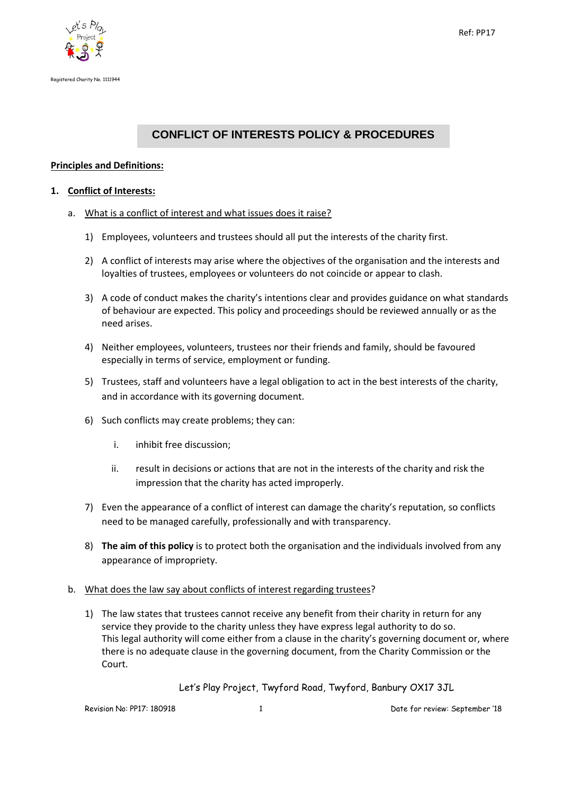



# **CONFLICT OF INTERESTS POLICY & PROCEDURES**

# **Principles and Definitions:**

#### **1. Conflict of Interests:**

- a. What is a conflict of interest and what issues does it raise?
	- 1) Employees, volunteers and trustees should all put the interests of the charity first.
	- 2) A conflict of interests may arise where the objectives of the organisation and the interests and loyalties of trustees, employees or volunteers do not coincide or appear to clash.
	- 3) A code of conduct makes the charity's intentions clear and provides guidance on what standards of behaviour are expected. This policy and proceedings should be reviewed annually or as the need arises.
	- 4) Neither employees, volunteers, trustees nor their friends and family, should be favoured especially in terms of service, employment or funding.
	- 5) Trustees, staff and volunteers have a legal obligation to act in the best interests of the charity, and in accordance with its governing document.
	- 6) Such conflicts may create problems; they can:
		- i. inhibit free discussion;
		- ii. result in decisions or actions that are not in the interests of the charity and risk the impression that the charity has acted improperly.
	- 7) Even the appearance of a conflict of interest can damage the charity's reputation, so conflicts need to be managed carefully, professionally and with transparency.
	- 8) **The aim of this policy** is to protect both the organisation and the individuals involved from any appearance of impropriety.

#### b. What does the law say about conflicts of interest regarding trustees?

1) The law states that trustees cannot receive any benefit from their charity in return for any service they provide to the charity unless they have express legal authority to do so. This legal authority will come either from a clause in the charity's governing document or, where there is no adequate clause in the governing document, from the Charity Commission or the Court.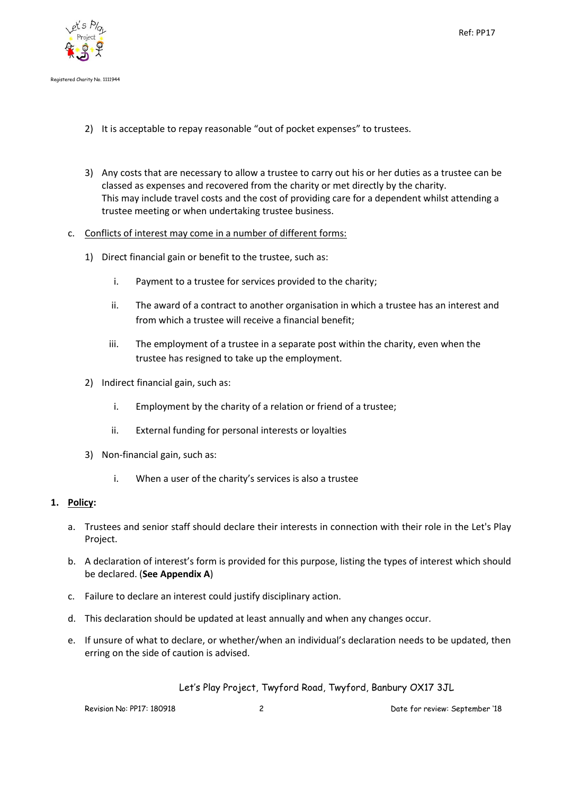

- 2) It is acceptable to repay reasonable "out of pocket expenses" to trustees.
- 3) Any costs that are necessary to allow a trustee to carry out his or her duties as a trustee can be classed as expenses and recovered from the charity or met directly by the charity. This may include travel costs and the cost of providing care for a dependent whilst attending a trustee meeting or when undertaking trustee business.

#### c. Conflicts of interest may come in a number of different forms:

- 1) Direct financial gain or benefit to the trustee, such as:
	- i. Payment to a trustee for services provided to the charity;
	- ii. The award of a contract to another organisation in which a trustee has an interest and from which a trustee will receive a financial benefit;
	- iii. The employment of a trustee in a separate post within the charity, even when the trustee has resigned to take up the employment.
- 2) Indirect financial gain, such as:
	- i. Employment by the charity of a relation or friend of a trustee;
	- ii. External funding for personal interests or loyalties
- 3) Non-financial gain, such as:
	- i. When a user of the charity's services is also a trustee

#### **1. Policy:**

- a. Trustees and senior staff should declare their interests in connection with their role in the Let's Play Project.
- b. A declaration of interest's form is provided for this purpose, listing the types of interest which should be declared. (**See Appendix A**)
- c. Failure to declare an interest could justify disciplinary action.
- d. This declaration should be updated at least annually and when any changes occur.
- e. If unsure of what to declare, or whether/when an individual's declaration needs to be updated, then erring on the side of caution is advised.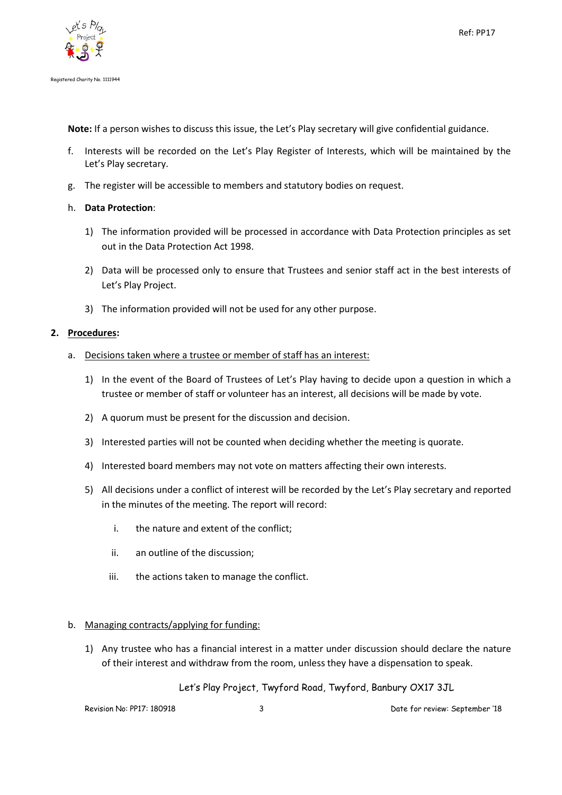

**Note:** If a person wishes to discuss this issue, the Let's Play secretary will give confidential guidance.

- f. Interests will be recorded on the Let's Play Register of Interests, which will be maintained by the Let's Play secretary.
- g. The register will be accessible to members and statutory bodies on request.

#### h. **Data Protection**:

- 1) The information provided will be processed in accordance with Data Protection principles as set out in the Data Protection Act 1998.
- 2) Data will be processed only to ensure that Trustees and senior staff act in the best interests of Let's Play Project.
- 3) The information provided will not be used for any other purpose.

#### **2. Procedures:**

- a. Decisions taken where a trustee or member of staff has an interest:
	- 1) In the event of the Board of Trustees of Let's Play having to decide upon a question in which a trustee or member of staff or volunteer has an interest, all decisions will be made by vote.
	- 2) A quorum must be present for the discussion and decision.
	- 3) Interested parties will not be counted when deciding whether the meeting is quorate.
	- 4) Interested board members may not vote on matters affecting their own interests.
	- 5) All decisions under a conflict of interest will be recorded by the Let's Play secretary and reported in the minutes of the meeting. The report will record:
		- i. the nature and extent of the conflict;
		- ii. an outline of the discussion;
		- iii. the actions taken to manage the conflict.

#### b. Managing contracts/applying for funding:

1) Any trustee who has a financial interest in a matter under discussion should declare the nature of their interest and withdraw from the room, unless they have a dispensation to speak.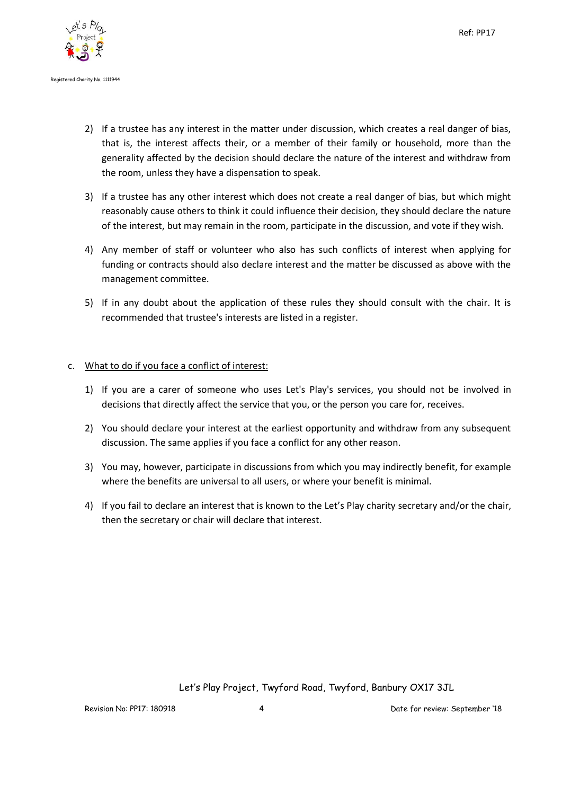

- 2) If a trustee has any interest in the matter under discussion, which creates a real danger of bias, that is, the interest affects their, or a member of their family or household, more than the generality affected by the decision should declare the nature of the interest and withdraw from the room, unless they have a dispensation to speak.
- 3) If a trustee has any other interest which does not create a real danger of bias, but which might reasonably cause others to think it could influence their decision, they should declare the nature of the interest, but may remain in the room, participate in the discussion, and vote if they wish.
- 4) Any member of staff or volunteer who also has such conflicts of interest when applying for funding or contracts should also declare interest and the matter be discussed as above with the management committee.
- 5) If in any doubt about the application of these rules they should consult with the chair. It is recommended that trustee's interests are listed in a register.

#### c. What to do if you face a conflict of interest:

- 1) If you are a carer of someone who uses Let's Play's services, you should not be involved in decisions that directly affect the service that you, or the person you care for, receives.
- 2) You should declare your interest at the earliest opportunity and withdraw from any subsequent discussion. The same applies if you face a conflict for any other reason.
- 3) You may, however, participate in discussions from which you may indirectly benefit, for example where the benefits are universal to all users, or where your benefit is minimal.
- 4) If you fail to declare an interest that is known to the Let's Play charity secretary and/or the chair, then the secretary or chair will declare that interest.